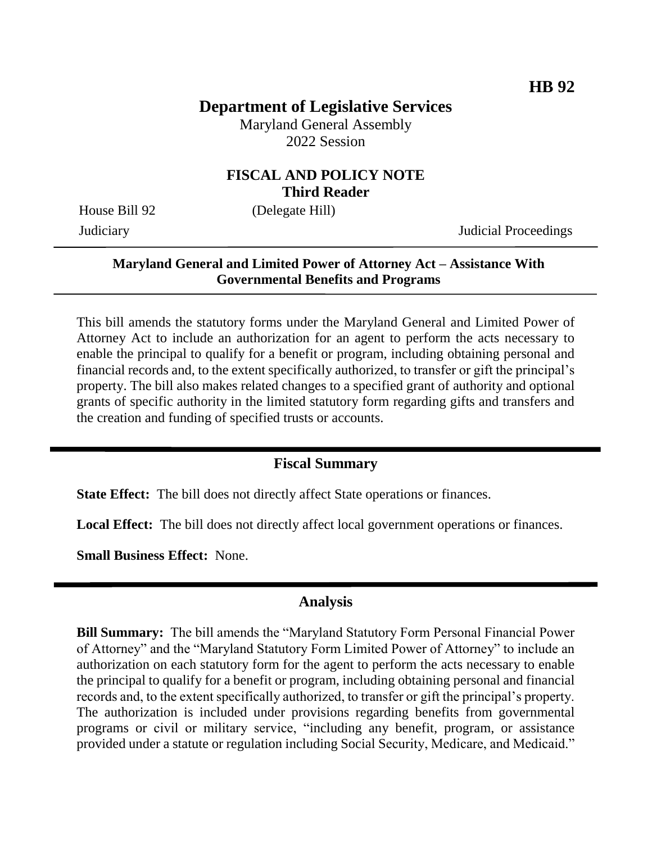# **Department of Legislative Services**

Maryland General Assembly 2022 Session

### **FISCAL AND POLICY NOTE Third Reader**

House Bill 92 (Delegate Hill)

Judiciary Judicial Proceedings

#### **Maryland General and Limited Power of Attorney Act – Assistance With Governmental Benefits and Programs**

This bill amends the statutory forms under the Maryland General and Limited Power of Attorney Act to include an authorization for an agent to perform the acts necessary to enable the principal to qualify for a benefit or program, including obtaining personal and financial records and, to the extent specifically authorized, to transfer or gift the principal's property. The bill also makes related changes to a specified grant of authority and optional grants of specific authority in the limited statutory form regarding gifts and transfers and the creation and funding of specified trusts or accounts.

### **Fiscal Summary**

**State Effect:** The bill does not directly affect State operations or finances.

Local Effect: The bill does not directly affect local government operations or finances.

**Small Business Effect:** None.

### **Analysis**

**Bill Summary:** The bill amends the "Maryland Statutory Form Personal Financial Power of Attorney" and the "Maryland Statutory Form Limited Power of Attorney" to include an authorization on each statutory form for the agent to perform the acts necessary to enable the principal to qualify for a benefit or program, including obtaining personal and financial records and, to the extent specifically authorized, to transfer or gift the principal's property. The authorization is included under provisions regarding benefits from governmental programs or civil or military service, "including any benefit, program, or assistance provided under a statute or regulation including Social Security, Medicare, and Medicaid."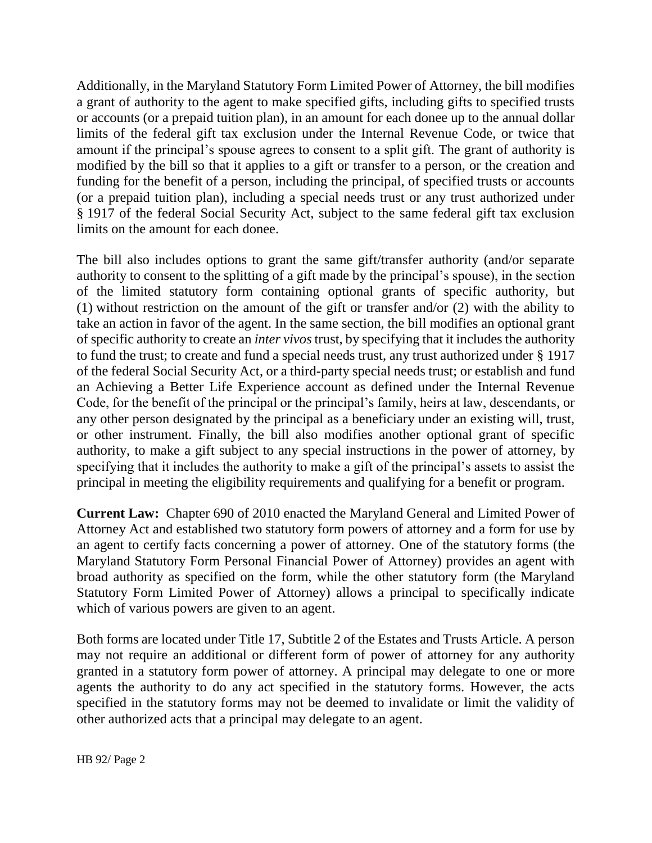Additionally, in the Maryland Statutory Form Limited Power of Attorney, the bill modifies a grant of authority to the agent to make specified gifts, including gifts to specified trusts or accounts (or a prepaid tuition plan), in an amount for each donee up to the annual dollar limits of the federal gift tax exclusion under the Internal Revenue Code, or twice that amount if the principal's spouse agrees to consent to a split gift. The grant of authority is modified by the bill so that it applies to a gift or transfer to a person, or the creation and funding for the benefit of a person, including the principal, of specified trusts or accounts (or a prepaid tuition plan), including a special needs trust or any trust authorized under § 1917 of the federal Social Security Act, subject to the same federal gift tax exclusion limits on the amount for each donee.

The bill also includes options to grant the same gift/transfer authority (and/or separate authority to consent to the splitting of a gift made by the principal's spouse), in the section of the limited statutory form containing optional grants of specific authority, but (1) without restriction on the amount of the gift or transfer and/or (2) with the ability to take an action in favor of the agent. In the same section, the bill modifies an optional grant of specific authority to create an *inter vivos* trust, by specifying that it includes the authority to fund the trust; to create and fund a special needs trust, any trust authorized under § 1917 of the federal Social Security Act, or a third-party special needs trust; or establish and fund an Achieving a Better Life Experience account as defined under the Internal Revenue Code, for the benefit of the principal or the principal's family, heirs at law, descendants, or any other person designated by the principal as a beneficiary under an existing will, trust, or other instrument. Finally, the bill also modifies another optional grant of specific authority, to make a gift subject to any special instructions in the power of attorney, by specifying that it includes the authority to make a gift of the principal's assets to assist the principal in meeting the eligibility requirements and qualifying for a benefit or program.

**Current Law:** Chapter 690 of 2010 enacted the Maryland General and Limited Power of Attorney Act and established two statutory form powers of attorney and a form for use by an agent to certify facts concerning a power of attorney. One of the statutory forms (the Maryland Statutory Form Personal Financial Power of Attorney) provides an agent with broad authority as specified on the form, while the other statutory form (the Maryland Statutory Form Limited Power of Attorney) allows a principal to specifically indicate which of various powers are given to an agent.

Both forms are located under Title 17, Subtitle 2 of the Estates and Trusts Article. A person may not require an additional or different form of power of attorney for any authority granted in a statutory form power of attorney. A principal may delegate to one or more agents the authority to do any act specified in the statutory forms. However, the acts specified in the statutory forms may not be deemed to invalidate or limit the validity of other authorized acts that a principal may delegate to an agent.